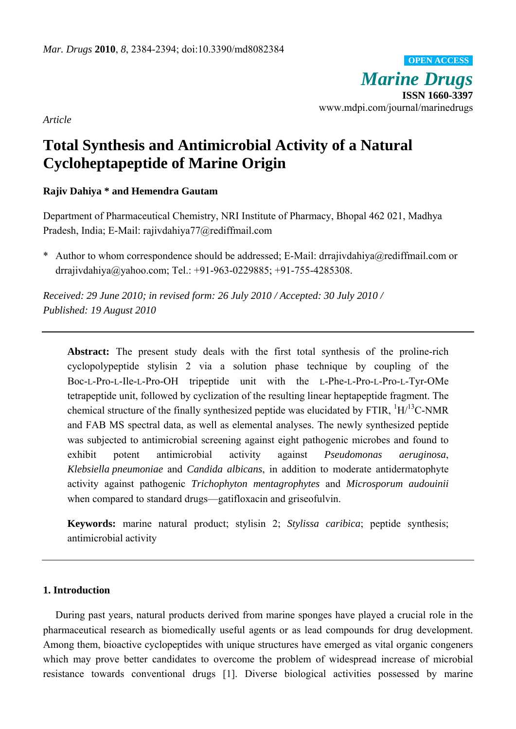*Marine Drugs* **ISSN 1660-3397**  www.mdpi.com/journal/marinedrugs **OPEN ACCESS**

*Article* 

# **Total Synthesis and Antimicrobial Activity of a Natural Cycloheptapeptide of Marine Origin**

# **Rajiv Dahiya \* and Hemendra Gautam**

Department of Pharmaceutical Chemistry, NRI Institute of Pharmacy, Bhopal 462 021, Madhya Pradesh, India; E-Mail: rajivdahiya77@rediffmail.com

\* Author to whom correspondence should be addressed; E-Mail: drrajivdahiya@rediffmail.com or drrajivdahiya@yahoo.com; Tel.: +91-963-0229885; +91-755-4285308.

*Received: 29 June 2010; in revised form: 26 July 2010 / Accepted: 30 July 2010 / Published: 19 August 2010* 

**Abstract:** The present study deals with the first total synthesis of the proline-rich cyclopolypeptide stylisin 2 via a solution phase technique by coupling of the Boc-L-Pro-L-Ile-L-Pro-OH tripeptide unit with the L-Phe-L-Pro-L-Pro-L-Tyr-OMe tetrapeptide unit, followed by cyclization of the resulting linear heptapeptide fragment. The chemical structure of the finally synthesized peptide was elucidated by FTIR,  ${}^{1}H/{}^{13}C$ -NMR and FAB MS spectral data, as well as elemental analyses. The newly synthesized peptide was subjected to antimicrobial screening against eight pathogenic microbes and found to exhibit potent antimicrobial activity against *Pseudomonas aeruginosa*, *Klebsiella pneumoniae* and *Candida albicans*, in addition to moderate antidermatophyte activity against pathogenic *Trichophyton mentagrophytes* and *Microsporum audouinii* when compared to standard drugs—gatifloxacin and griseofulvin.

**Keywords:** marine natural product; stylisin 2; *Stylissa caribica*; peptide synthesis; antimicrobial activity

# **1. Introduction**

During past years, natural products derived from marine sponges have played a crucial role in the pharmaceutical research as biomedically useful agents or as lead compounds for drug development. Among them, bioactive cyclopeptides with unique structures have emerged as vital organic congeners which may prove better candidates to overcome the problem of widespread increase of microbial resistance towards conventional drugs [1]. Diverse biological activities possessed by marine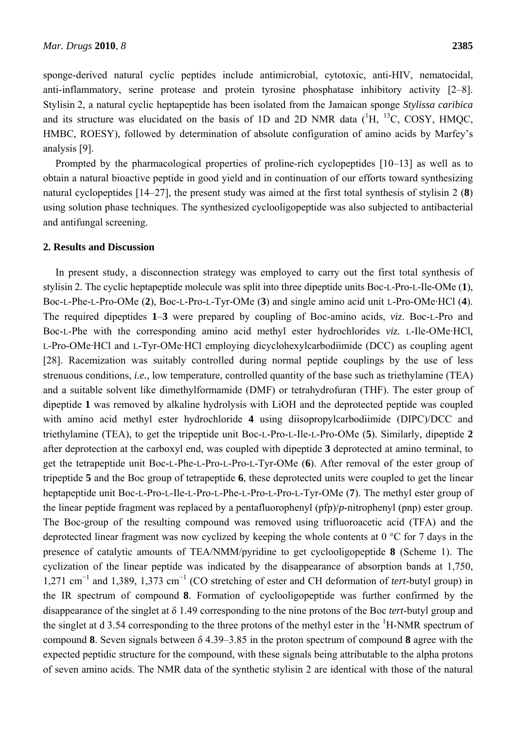sponge-derived natural cyclic peptides include antimicrobial, cytotoxic, anti-HIV, nematocidal, anti-inflammatory, serine protease and protein tyrosine phosphatase inhibitory activity [2–8]. Stylisin 2, a natural cyclic heptapeptide has been isolated from the Jamaican sponge *Stylissa caribica* and its structure was elucidated on the basis of 1D and 2D NMR data  $(^1H, ^{13}C,$  COSY, HMQC, HMBC, ROESY), followed by determination of absolute configuration of amino acids by Marfey's analysis [9].

Prompted by the pharmacological properties of proline-rich cyclopeptides [10–13] as well as to obtain a natural bioactive peptide in good yield and in continuation of our efforts toward synthesizing natural cyclopeptides [14–27], the present study was aimed at the first total synthesis of stylisin 2 (**8**) using solution phase techniques. The synthesized cyclooligopeptide was also subjected to antibacterial and antifungal screening.

## **2. Results and Discussion**

In present study, a disconnection strategy was employed to carry out the first total synthesis of stylisin 2. The cyclic heptapeptide molecule was split into three dipeptide units Boc-L-Pro-L-Ile-OMe (**1**), Boc-L-Phe-L-Pro-OMe (**2**), Boc-L-Pro-L-Tyr-OMe (**3**) and single amino acid unit L-Pro-OMe·HCl (**4**). The required dipeptides **1**–**3** were prepared by coupling of Boc-amino acids, *viz*. Boc-L-Pro and Boc-L-Phe with the corresponding amino acid methyl ester hydrochlorides *viz.* L-Ile-OMe·HCl, L-Pro-OMe·HCl and L-Tyr-OMe·HCl employing dicyclohexylcarbodiimide (DCC) as coupling agent [28]. Racemization was suitably controlled during normal peptide couplings by the use of less strenuous conditions, *i.e.*, low temperature, controlled quantity of the base such as triethylamine (TEA) and a suitable solvent like dimethylformamide (DMF) or tetrahydrofuran (THF). The ester group of dipeptide **1** was removed by alkaline hydrolysis with LiOH and the deprotected peptide was coupled with amino acid methyl ester hydrochloride **4** using diisopropylcarbodiimide (DIPC)/DCC and triethylamine (TEA), to get the tripeptide unit Boc-L-Pro-L-Ile-L-Pro-OMe (**5**). Similarly, dipeptide **2** after deprotection at the carboxyl end, was coupled with dipeptide **3** deprotected at amino terminal, to get the tetrapeptide unit Boc-L-Phe-L-Pro-L-Pro-L-Tyr-OMe (**6**). After removal of the ester group of tripeptide **5** and the Boc group of tetrapeptide **6**, these deprotected units were coupled to get the linear heptapeptide unit Boc-L-Pro-L-Ile-L-Pro-L-Phe-L-Pro-L-Pro-L-Tyr-OMe (**7**). The methyl ester group of the linear peptide fragment was replaced by a pentafluorophenyl (pfp)/*p*-nitrophenyl (pnp) ester group. The Boc-group of the resulting compound was removed using trifluoroacetic acid (TFA) and the deprotected linear fragment was now cyclized by keeping the whole contents at 0 °C for 7 days in the presence of catalytic amounts of TEA/NMM/pyridine to get cyclooligopeptide **8** (Scheme 1). The cyclization of the linear peptide was indicated by the disappearance of absorption bands at 1,750, 1,271 cm<sup>−</sup><sup>1</sup> and 1,389, 1,373 cm<sup>−</sup><sup>1</sup> (CO stretching of ester and CH deformation of *tert*-butyl group) in the IR spectrum of compound **8**. Formation of cyclooligopeptide was further confirmed by the disappearance of the singlet at δ 1.49 corresponding to the nine protons of the Boc *tert*-butyl group and the singlet at d 3.54 corresponding to the three protons of the methyl ester in the  ${}^{1}$ H-NMR spectrum of compound **8**. Seven signals between δ 4.39–3.85 in the proton spectrum of compound **8** agree with the expected peptidic structure for the compound, with these signals being attributable to the alpha protons of seven amino acids. The NMR data of the synthetic stylisin 2 are identical with those of the natural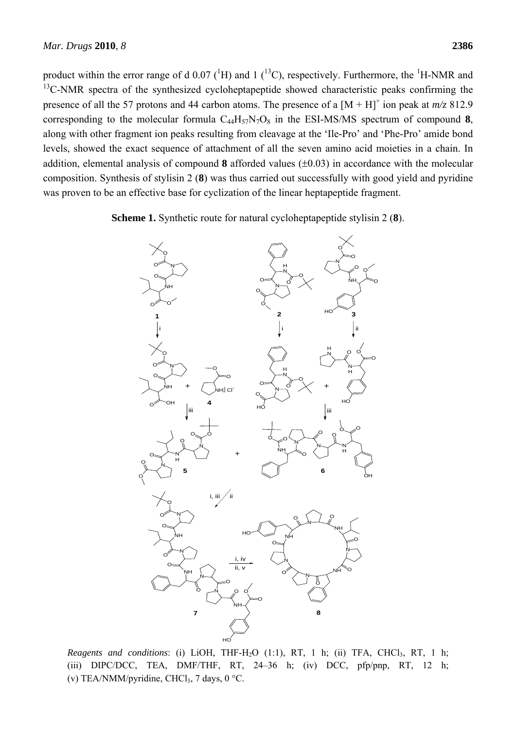product within the error range of d  $0.07(^1H)$  and 1 (<sup>13</sup>C), respectively. Furthermore, the <sup>1</sup>H-NMR and <sup>13</sup>C-NMR spectra of the synthesized cycloheptapeptide showed characteristic peaks confirming the presence of all the 57 protons and 44 carbon atoms. The presence of a  $[M + H]$ <sup>+</sup> ion peak at  $m/z$  812.9 corresponding to the molecular formula  $C_{44}H_{57}N_7O_8$  in the ESI-MS/MS spectrum of compound 8, along with other fragment ion peaks resulting from cleavage at the 'Ile-Pro' and 'Phe-Pro' amide bond levels, showed the exact sequence of attachment of all the seven amino acid moieties in a chain. In addition, elemental analysis of compound **8** afforded values (±0.03) in accordance with the molecular composition. Synthesis of stylisin 2 (**8**) was thus carried out successfully with good yield and pyridine

**Scheme 1.** Synthetic route for natural cycloheptapeptide stylisin 2 (**8**).

was proven to be an effective base for cyclization of the linear heptapeptide fragment.



*Reagents and conditions*: (i) LiOH, THF-H<sub>2</sub>O (1:1), RT, 1 h; (ii) TFA, CHCl<sub>3</sub>, RT, 1 h; (iii) DIPC/DCC, TEA, DMF/THF, RT, 24–36 h; (iv) DCC, pfp/pnp, RT, 12 h; (v) TEA/NMM/pyridine, CHCl<sub>3</sub>, 7 days, 0 °C.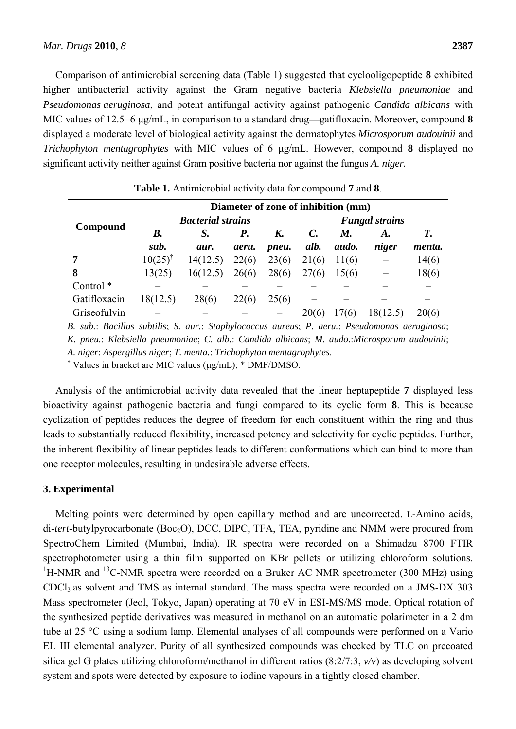Comparison of antimicrobial screening data (Table 1) suggested that cyclooligopeptide **8** exhibited higher antibacterial activity against the Gram negative bacteria *Klebsiella pneumoniae* and *Pseudomonas aeruginosa*, and potent antifungal activity against pathogenic *Candida albicans* with MIC values of 12.5−6 μg/mL, in comparison to a standard drug—gatifloxacin. Moreover, compound **8** displayed a moderate level of biological activity against the dermatophytes *Microsporum audouinii* and *Trichophyton mentagrophytes* with MIC values of 6 μg/mL. However, compound **8** displayed no significant activity neither against Gram positive bacteria nor against the fungus *A. niger.*

| Compound             | Diameter of zone of inhibition (mm) |          |       |       |                       |       |          |        |
|----------------------|-------------------------------------|----------|-------|-------|-----------------------|-------|----------|--------|
|                      | <b>Bacterial strains</b>            |          |       |       | <b>Fungal strains</b> |       |          |        |
|                      | B.                                  | S.       | Р.    | K.    | C.                    | M.    | A.       | Т.     |
|                      | sub.                                | aur.     | aeru. | pneu. | alb.                  | audo. | niger    | menta. |
| 7                    | 10(25)                              | 14(12.5) | 22(6) | 23(6) | 21(6)                 | 11(6) |          | 14(6)  |
| 8                    | 13(25)                              | 16(12.5) | 26(6) | 28(6) | 27(6)                 | 15(6) |          | 18(6)  |
| Control <sup>*</sup> |                                     |          |       |       |                       |       |          |        |
| Gatifloxacin         | 18(12.5)                            | 28(6)    | 22(6) | 25(6) |                       |       |          |        |
| Griseofulvin         |                                     |          |       |       | 20(6)                 | 17(6) | 18(12.5) | 20(6)  |

**Table 1.** Antimicrobial activity data for compound **7** and **8**.

*B. sub.*: *Bacillus subtilis*; *S. aur.*: *Staphylococcus aureus*; *P. aeru.*: *Pseudomonas aeruginosa*; *K. pneu.*: *Klebsiella pneumoniae*; *C. alb.*: *Candida albicans*; *M. audo.*:*Microsporum audouinii*; *A. niger*: *Aspergillus niger*; *T. menta.*: *Trichophyton mentagrophytes*.

<sup>†</sup> Values in bracket are MIC values (μg/mL); \* DMF/DMSO.

Analysis of the antimicrobial activity data revealed that the linear heptapeptide **7** displayed less bioactivity against pathogenic bacteria and fungi compared to its cyclic form **8**. This is because cyclization of peptides reduces the degree of freedom for each constituent within the ring and thus leads to substantially reduced flexibility, increased potency and selectivity for cyclic peptides. Further, the inherent flexibility of linear peptides leads to different conformations which can bind to more than one receptor molecules, resulting in undesirable adverse effects.

## **3. Experimental**

Melting points were determined by open capillary method and are uncorrected. L-Amino acids, di-*tert*-butylpyrocarbonate (Boc<sub>2</sub>O), DCC, DIPC, TFA, TEA, pyridine and NMM were procured from SpectroChem Limited (Mumbai, India). IR spectra were recorded on a Shimadzu 8700 FTIR spectrophotometer using a thin film supported on KBr pellets or utilizing chloroform solutions.  ${}^{1}$ H-NMR and  ${}^{13}$ C-NMR spectra were recorded on a Bruker AC NMR spectrometer (300 MHz) using CDCl3 as solvent and TMS as internal standard. The mass spectra were recorded on a JMS-DX 303 Mass spectrometer (Jeol, Tokyo, Japan) operating at 70 eV in ESI-MS/MS mode. Optical rotation of the synthesized peptide derivatives was measured in methanol on an automatic polarimeter in a 2 dm tube at 25 °C using a sodium lamp. Elemental analyses of all compounds were performed on a Vario EL III elemental analyzer. Purity of all synthesized compounds was checked by TLC on precoated silica gel G plates utilizing chloroform/methanol in different ratios (8:2/7:3, *v/v*) as developing solvent system and spots were detected by exposure to iodine vapours in a tightly closed chamber.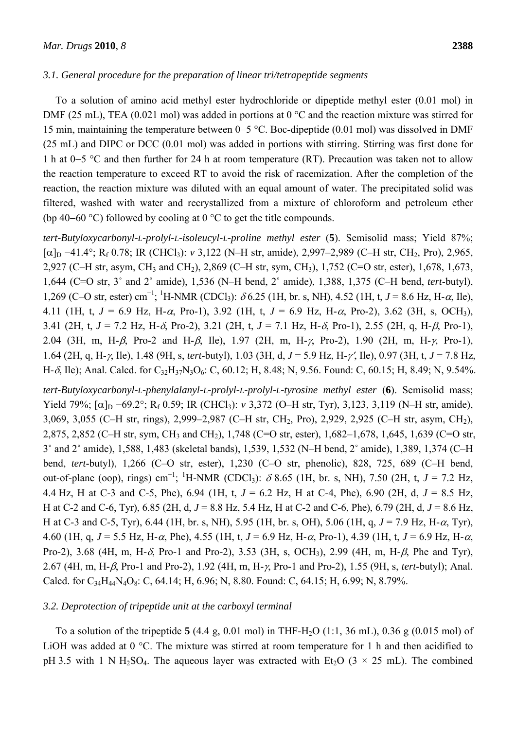## *3.1. General procedure for the preparation of linear tri/tetrapeptide segments*

To a solution of amino acid methyl ester hydrochloride or dipeptide methyl ester (0.01 mol) in DMF (25 mL), TEA (0.021 mol) was added in portions at 0 °C and the reaction mixture was stirred for 15 min, maintaining the temperature between 0−5 °C. Boc-dipeptide (0.01 mol) was dissolved in DMF (25 mL) and DIPC or DCC (0.01 mol) was added in portions with stirring. Stirring was first done for 1 h at 0−5 °C and then further for 24 h at room temperature (RT). Precaution was taken not to allow the reaction temperature to exceed RT to avoid the risk of racemization. After the completion of the reaction, the reaction mixture was diluted with an equal amount of water. The precipitated solid was filtered, washed with water and recrystallized from a mixture of chloroform and petroleum ether (bp 40−60 °C) followed by cooling at 0 °C to get the title compounds.

*tert-Butyloxycarbonyl-L-prolyl-L-isoleucyl-L-proline methyl ester* (**5**). Semisolid mass; Yield 87%; [α]D −41.4°; Rf 0.78; IR (CHCl3): *v* 3,122 (N–H str, amide), 2,997–2,989 (C–H str, CH2, Pro), 2,965, 2,927 (C–H str, asym, CH3 and CH2), 2,869 (C–H str, sym, CH3), 1,752 (C=O str, ester), 1,678, 1,673, 1,644 (C=O str, 3˚ and 2˚ amide), 1,536 (N–H bend, 2˚ amide), 1,388, 1,375 (C–H bend, *tert*-butyl), 1,269 (C–O str, ester) cm<sup>-1</sup>; <sup>1</sup>H-NMR (CDCl<sub>3</sub>): δ 6.25 (1H, br. s, NH), 4.52 (1H, t, *J* = 8.6 Hz, H-α, Ile), 4.11 (1H, t, *J* = 6.9 Hz, H-α, Pro-1), 3.92 (1H, t, *J* = 6.9 Hz, H-α, Pro-2), 3.62 (3H, s, OCH3), 3.41 (2H, t, *J* = 7.2 Hz, H-δ, Pro-2), 3.21 (2H, t, *J* = 7.1 Hz, H-δ, Pro-1), 2.55 (2H, q, H-β, Pro-1), 2.04 (3H, m, H-β, Pro-2 and H-β, Ile), 1.97 (2H, m, H-γ, Pro-2), 1.90 (2H, m, H-γ, Pro-1), 1.64 (2H, q, H-γ, Ile), 1.48 (9H, s, *tert*-butyl), 1.03 (3H, d, *J* = 5.9 Hz, H-γ′, Ile), 0.97 (3H, t, *J* = 7.8 Hz, H- $\delta$ , Ile); Anal. Calcd. for C<sub>32</sub>H<sub>37</sub>N<sub>3</sub>O<sub>6</sub>: C, 60.12; H, 8.48; N, 9.56. Found: C, 60.15; H, 8.49; N, 9.54%.

*tert-Butyloxycarbonyl-L-phenylalanyl-L-prolyl-L-prolyl-L-tyrosine methyl ester* (**6**). Semisolid mass; Yield 79%; [α]<sub>D</sub> −69.2°; R<sub>f</sub> 0.59; IR (CHCl<sub>3</sub>): *v* 3,372 (O–H str, Tyr), 3,123, 3,119 (N–H str, amide), 3,069, 3,055 (C–H str, rings), 2,999–2,987 (C–H str, CH2, Pro), 2,929, 2,925 (C–H str, asym, CH2), 2,875, 2,852 (C–H str, sym, CH3 and CH2), 1,748 (C=O str, ester), 1,682–1,678, 1,645, 1,639 (C=O str, 3˚ and 2˚ amide), 1,588, 1,483 (skeletal bands), 1,539, 1,532 (N–H bend, 2˚ amide), 1,389, 1,374 (C–H bend, *tert*-butyl), 1,266 (C–O str, ester), 1,230 (C–O str, phenolic), 828, 725, 689 (C–H bend, out-of-plane (oop), rings) cm<sup>-1</sup>; <sup>1</sup>H-NMR (CDCl<sub>3</sub>):  $\delta$  8.65 (1H, br. s, NH), 7.50 (2H, t, *J* = 7.2 Hz, 4.4 Hz, H at C-3 and C-5, Phe), 6.94 (1H, t, *J* = 6.2 Hz, H at C-4, Phe), 6.90 (2H, d, *J* = 8.5 Hz, H at C-2 and C-6, Tyr), 6.85 (2H, d, *J* = 8.8 Hz, 5.4 Hz, H at C-2 and C-6, Phe), 6.79 (2H, d, *J* = 8.6 Hz, H at C-3 and C-5, Tyr), 6.44 (1H, br. s, NH), 5.95 (1H, br. s, OH), 5.06 (1H, q, *J* = 7.9 Hz, H-α, Tyr), 4.60 (1H, q, *J* = 5.5 Hz, H-α, Phe), 4.55 (1H, t, *J* = 6.9 Hz, H-α, Pro-1), 4.39 (1H, t, *J* = 6.9 Hz, H-α, Pro-2), 3.68 (4H, m, H-δ, Pro-1 and Pro-2), 3.53 (3H, s, OCH3), 2.99 (4H, m, H-β, Phe and Tyr), 2.67 (4H, m, H-β, Pro-1 and Pro-2), 1.92 (4H, m, H-γ, Pro-1 and Pro-2), 1.55 (9H, s, *tert*-butyl); Anal. Calcd. for C<sub>34</sub>H<sub>44</sub>N<sub>4</sub>O<sub>8</sub>: C, 64.14; H, 6.96; N, 8.80. Found: C, 64.15; H, 6.99; N, 8.79%.

## *3.2. Deprotection of tripeptide unit at the carboxyl terminal*

To a solution of the tripeptide  $5(4.4 \text{ g}, 0.01 \text{ mol})$  in THF-H<sub>2</sub>O (1:1, 36 mL), 0.36 g (0.015 mol) of LiOH was added at 0 °C. The mixture was stirred at room temperature for 1 h and then acidified to pH 3.5 with 1 N H<sub>2</sub>SO<sub>4</sub>. The aqueous layer was extracted with Et<sub>2</sub>O (3  $\times$  25 mL). The combined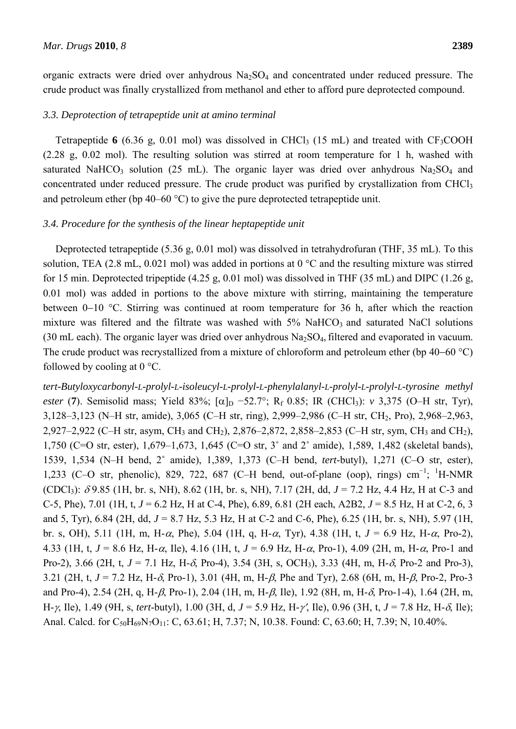organic extracts were dried over anhydrous  $Na<sub>2</sub>SO<sub>4</sub>$  and concentrated under reduced pressure. The crude product was finally crystallized from methanol and ether to afford pure deprotected compound.

## *3.3. Deprotection of tetrapeptide unit at amino terminal*

Tetrapeptide  $6$  (6.36 g, 0.01 mol) was dissolved in CHCl<sub>3</sub> (15 mL) and treated with CF<sub>3</sub>COOH (2.28 g, 0.02 mol). The resulting solution was stirred at room temperature for 1 h, washed with saturated NaHCO<sub>3</sub> solution (25 mL). The organic layer was dried over anhydrous Na<sub>2</sub>SO<sub>4</sub> and concentrated under reduced pressure. The crude product was purified by crystallization from CHCl<sub>3</sub> and petroleum ether (bp 40–60  $^{\circ}$ C) to give the pure deprotected tetrapeptide unit.

## *3.4. Procedure for the synthesis of the linear heptapeptide unit*

Deprotected tetrapeptide (5.36 g, 0.01 mol) was dissolved in tetrahydrofuran (THF, 35 mL). To this solution, TEA (2.8 mL, 0.021 mol) was added in portions at 0 °C and the resulting mixture was stirred for 15 min. Deprotected tripeptide (4.25 g, 0.01 mol) was dissolved in THF (35 mL) and DIPC (1.26 g, 0.01 mol) was added in portions to the above mixture with stirring, maintaining the temperature between 0−10 °C. Stirring was continued at room temperature for 36 h, after which the reaction mixture was filtered and the filtrate was washed with  $5\%$  NaHCO<sub>3</sub> and saturated NaCl solutions (30 mL each). The organic layer was dried over anhydrous  $Na<sub>2</sub>SO<sub>4</sub>$ , filtered and evaporated in vacuum. The crude product was recrystallized from a mixture of chloroform and petroleum ether (bp 40–60 °C) followed by cooling at  $0^{\circ}$ C.

*tert-Butyloxycarbonyl-L-prolyl-L-isoleucyl-L-prolyl-L-phenylalanyl-L-prolyl-L-prolyl-L-tyrosine methyl ester* (7). Semisolid mass; Yield 83%; [ $\alpha$ ]<sub>D</sub> −52.7°; R<sub>f</sub> 0.85; IR (CHCl<sub>3</sub>): *v* 3,375 (O–H str, Tyr), 3,128–3,123 (N–H str, amide), 3,065 (C–H str, ring), 2,999–2,986 (C–H str, CH2, Pro), 2,968–2,963, 2,927–2,922 (C–H str, asym, CH3 and CH2), 2,876–2,872, 2,858–2,853 (C–H str, sym, CH3 and CH2), 1,750 (C=O str, ester), 1,679–1,673, 1,645 (C=O str, 3˚ and 2˚ amide), 1,589, 1,482 (skeletal bands), 1539, 1,534 (N–H bend, 2˚ amide), 1,389, 1,373 (C–H bend, *tert*-butyl), 1,271 (C–O str, ester), 1,233 (C–O str, phenolic), 829, 722, 687 (C–H bend, out-of-plane (oop), rings) cm<sup>-1</sup>; <sup>1</sup>H-NMR (CDCl<sub>3</sub>):  $\delta$ 9.85 (1H, br. s, NH), 8.62 (1H, br. s, NH), 7.17 (2H, dd,  $J = 7.2$  Hz, 4.4 Hz, H at C-3 and C-5, Phe), 7.01 (1H, t, *J* = 6.2 Hz, H at C-4, Phe), 6.89, 6.81 (2H each, A2B2, *J* = 8.5 Hz, H at C-2, 6, 3 and 5, Tyr), 6.84 (2H, dd, *J* = 8.7 Hz, 5.3 Hz, H at C-2 and C-6, Phe), 6.25 (1H, br. s, NH), 5.97 (1H, br. s, OH), 5.11 (1H, m, H-α, Phe), 5.04 (1H, q, H-α, Tyr), 4.38 (1H, t, *J* = 6.9 Hz, H-α, Pro-2), 4.33 (1H, t,  $J = 8.6$  Hz, H- $\alpha$ , Ile), 4.16 (1H, t,  $J = 6.9$  Hz, H- $\alpha$ , Pro-1), 4.09 (2H, m, H- $\alpha$ , Pro-1 and Pro-2), 3.66 (2H, t, *J* = 7.1 Hz, H-δ, Pro-4), 3.54 (3H, s, OCH3), 3.33 (4H, m, H-δ, Pro-2 and Pro-3), 3.21 (2H, t, *J* = 7.2 Hz, H-δ, Pro-1), 3.01 (4H, m, H-β, Phe and Tyr), 2.68 (6H, m, H-β, Pro-2, Pro-3 and Pro-4), 2.54 (2H, q, H-β, Pro-1), 2.04 (1H, m, H-β, Ile), 1.92 (8H, m, H-δ, Pro-1-4), 1.64 (2H, m, H-γ, Ile), 1.49 (9H, s, *tert*-butyl), 1.00 (3H, d, *J* = 5.9 Hz, H-γ′, Ile), 0.96 (3H, t, *J* = 7.8 Hz, H-δ, Ile); Anal. Calcd. for C<sub>50</sub>H<sub>69</sub>N<sub>7</sub>O<sub>11</sub>: C, 63.61; H, 7.37; N, 10.38. Found: C, 63.60; H, 7.39; N, 10.40%.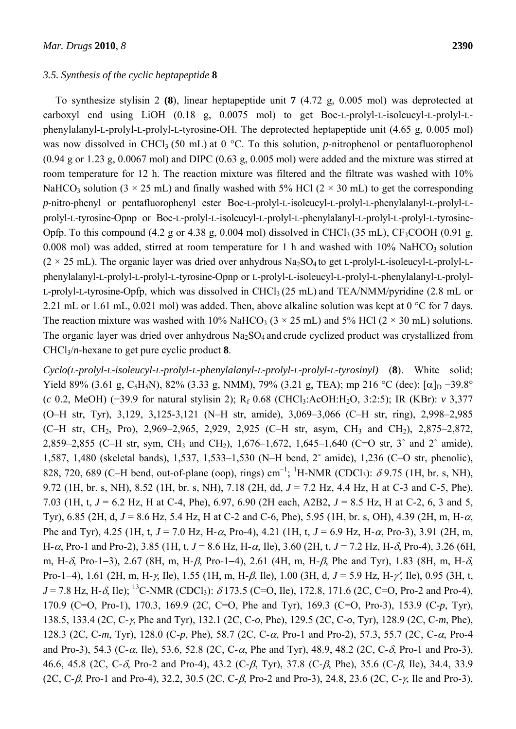#### *3.5. Synthesis of the cyclic heptapeptide* **8**

To synthesize stylisin 2 **(8**), linear heptapeptide unit **7** (4.72 g, 0.005 mol) was deprotected at carboxyl end using LiOH (0.18 g, 0.0075 mol) to get Boc-L-prolyl-L-isoleucyl-L-prolyl-Lphenylalanyl-L-prolyl-L-prolyl-L-tyrosine-OH. The deprotected heptapeptide unit (4.65 g, 0.005 mol) was now dissolved in CHCl<sub>3</sub> (50 mL) at 0  $^{\circ}$ C. To this solution, *p*-nitrophenol or pentafluorophenol  $(0.94 \text{ g or } 1.23 \text{ g}, 0.0067 \text{ mol})$  and DIPC  $(0.63 \text{ g}, 0.005 \text{ mol})$  were added and the mixture was stirred at room temperature for 12 h. The reaction mixture was filtered and the filtrate was washed with 10% NaHCO<sub>3</sub> solution ( $3 \times 25$  mL) and finally washed with 5% HCl ( $2 \times 30$  mL) to get the corresponding *p*-nitro-phenyl or pentafluorophenyl ester Boc-L-prolyl-L-isoleucyl-L-prolyl-L-phenylalanyl-L-prolyl-Lprolyl-L-tyrosine-Opnp or Boc-L-prolyl-L-isoleucyl-L-prolyl-L-phenylalanyl-L-prolyl-L-prolyl-L-tyrosine-Opfp. To this compound  $(4.2 \text{ g or } 4.38 \text{ g}, 0.004 \text{ mol})$  dissolved in CHCl<sub>3</sub> (35 mL), CF<sub>3</sub>COOH (0.91 g, 0.008 mol) was added, stirred at room temperature for 1 h and washed with  $10\%$  NaHCO<sub>3</sub> solution  $(2 \times 25 \text{ mL})$ . The organic layer was dried over anhydrous Na<sub>2</sub>SO<sub>4</sub> to get L-prolyl-L-isoleucyl-L-prolyl-Lphenylalanyl-L-prolyl-L-prolyl-L-tyrosine-Opnp or L-prolyl-L-isoleucyl-L-prolyl-L-phenylalanyl-L-prolyl-L-prolyl-L-tyrosine-Opfp, which was dissolved in CHCl<sub>3</sub> (25 mL) and TEA/NMM/pyridine (2.8 mL or 2.21 mL or 1.61 mL, 0.021 mol) was added. Then, above alkaline solution was kept at 0 °C for 7 days. The reaction mixture was washed with 10% NaHCO<sub>3</sub> ( $3 \times 25$  mL) and 5% HCl ( $2 \times 30$  mL) solutions. The organic layer was dried over anhydrous  $Na<sub>2</sub>SO<sub>4</sub>$  and crude cyclized product was crystallized from CHCl3/*n*-hexane to get pure cyclic product **8**.

*Cyclo(L-prolyl-L-isoleucyl-L-prolyl-L-phenylalanyl-L-prolyl-L-prolyl-L-tyrosinyl)* (**8**). White solid; Yield 89% (3.61 g, C<sub>5</sub>H<sub>5</sub>N), 82% (3.33 g, NMM), 79% (3.21 g, TEA); mp 216 °C (dec); [α]<sub>D</sub> −39.8° (*c* 0.2, MeOH) (−39.9 for natural stylisin 2); Rf 0.68 (CHCl3:AcOH:H2O, 3:2:5); IR (KBr): *v* 3,377 (O–H str, Tyr), 3,129, 3,125-3,121 (N–H str, amide), 3,069–3,066 (C–H str, ring), 2,998–2,985  $(C-H \text{ str}, CH_2, Pro), 2,969-2,965, 2,929, 2,925 (C-H \text{ str}, \text{asym}, CH_3 \text{ and } CH_2), 2,875-2,872,$ 2,859–2,855 (C–H str, sym, CH3 and CH2), 1,676–1,672, 1,645–1,640 (C=O str, 3˚ and 2˚ amide), 1,587, 1,480 (skeletal bands), 1,537, 1,533–1,530 (N–H bend, 2˚ amide), 1,236 (C–O str, phenolic), 828, 720, 689 (C–H bend, out-of-plane (oop), rings) cm<sup>-1</sup>; <sup>1</sup>H-NMR (CDCl<sub>3</sub>):  $\delta$ 9.75 (1H, br. s, NH), 9.72 (1H, br. s, NH), 8.52 (1H, br. s, NH), 7.18 (2H, dd, *J* = 7.2 Hz, 4.4 Hz, H at C-3 and C-5, Phe), 7.03 (1H, t, *J* = 6.2 Hz, H at C-4, Phe), 6.97, 6.90 (2H each, A2B2, *J* = 8.5 Hz, H at C-2, 6, 3 and 5, Tyr), 6.85 (2H, d, *J* = 8.6 Hz, 5.4 Hz, H at C-2 and C-6, Phe), 5.95 (1H, br. s, OH), 4.39 (2H, m, H-α, Phe and Tyr), 4.25 (1H, t, *J* = 7.0 Hz, H-α, Pro-4), 4.21 (1H, t, *J* = 6.9 Hz, H-α, Pro-3), 3.91 (2H, m, H-α, Pro-1 and Pro-2), 3.85 (1H, t,  $J = 8.6$  Hz, H-α, Ile), 3.60 (2H, t,  $J = 7.2$  Hz, H-δ, Pro-4), 3.26 (6H, m, H-δ, Pro-1−3), 2.67 (8H, m, H-β, Pro-1−4), 2.61 (4H, m, H-β, Phe and Tyr), 1.83 (8H, m, H-δ, Pro-1−4), 1.61 (2H, m, H-γ, Ile), 1.55 (1H, m, H-β, Ile), 1.00 (3H, d, *J* = 5.9 Hz, H-γ′, Ile), 0.95 (3H, t,  $J = 7.8$  Hz, H- $\delta$ , Ile); <sup>13</sup>C-NMR (CDCl<sub>3</sub>):  $\delta$  173.5 (C=O, Ile), 172.8, 171.6 (2C, C=O, Pro-2 and Pro-4), 170.9 (C=O, Pro-1), 170.3, 169.9 (2C, C=O, Phe and Tyr), 169.3 (C=O, Pro-3), 153.9 (C-*p*, Tyr), 138.5, 133.4 (2C, C-γ, Phe and Tyr), 132.1 (2C, C-*o*, Phe), 129.5 (2C, C-*o*, Tyr), 128.9 (2C, C-*m*, Phe), 128.3 (2C, C-*m*, Tyr), 128.0 (C-*p*, Phe), 58.7 (2C, C-α, Pro-1 and Pro-2), 57.3, 55.7 (2C, C-α, Pro-4 and Pro-3), 54.3 (C- $\alpha$ , Ile), 53.6, 52.8 (2C, C- $\alpha$ , Phe and Tyr), 48.9, 48.2 (2C, C- $\delta$ , Pro-1 and Pro-3), 46.6, 45.8 (2C, C-δ, Pro-2 and Pro-4), 43.2 (C-β, Tyr), 37.8 (C-β, Phe), 35.6 (C-β, Ile), 34.4, 33.9 (2C, C-β, Pro-1 and Pro-4), 32.2, 30.5 (2C, C-β, Pro-2 and Pro-3), 24.8, 23.6 (2C, C-γ, Ile and Pro-3),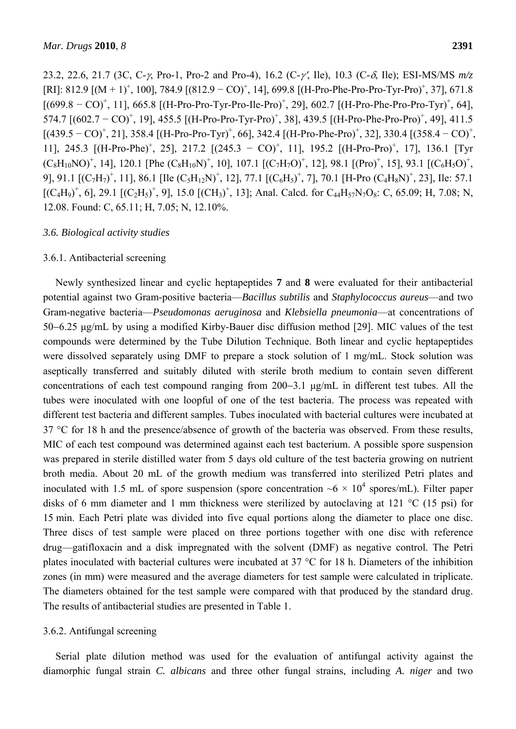23.2, 22.6, 21.7 (3C, C-γ, Pro-1, Pro-2 and Pro-4), 16.2 (C-γ′, Ile), 10.3 (C-δ, Ile); ESI-MS/MS *m/z* [RI]: 812.9  $[(M + 1)^+, 100]$ , 784.9  $[(812.9 - CO)^+, 14]$ , 699.8  $[(H-Pro-Phe-Pro-Pro-Tyr-Pro)^+, 37]$ , 671.8  $[(699.8 - CO)^+, 11]$ , 665.8  $[(H-Pro-Pro-Tyr-Pro-Ile-Pro)^+, 29]$ , 602.7  $[(H-Pro-Pre-Pro-Tyr)^+, 64]$ , 574.7 [(602.7 − CO)<sup>+</sup>, 19], 455.5 [(H-Pro-Pro-Tyr-Pro)<sup>+</sup>, 38], 439.5 [(H-Pro-Phe-Pro-Pro)<sup>+</sup>, 49], 411.5  $[(439.5 - CO)^{+}$ , 21], 358.4  $[(H-Pro-Pro-Tyr)^{+}$ , 66], 342.4  $[(H-Pro-Phe-Pro)^{+}$ , 32], 330.4  $[(358.4 - CO)^{+}$ , 11], 245.3 [(H-Pro-Phe)<sup>+</sup>, 25], 217.2 [(245.3 − CO)<sup>+</sup>, 11], 195.2 [(H-Pro-Pro)<sup>+</sup>, 17], 136.1 [Tyr  $(C_8H_{10}NO)^+$ , 14], 120.1 [Phe  $(C_8H_{10}N)^+$ , 10], 107.1  $(C_7H_7O)^+$ , 12], 98.1 [(Pro)<sup>+</sup>, 15], 93.1 [(C<sub>6</sub>H<sub>5</sub>O)<sup>+</sup>, 9], 91.1  $[(C_7H_7)^+, 11]$ , 86.1 [Ile  $(C_5H_{12}N)^+, 12]$ , 77.1  $[(C_6H_5)^+, 7]$ , 70.1 [H-Pro  $(C_4H_8N)^+, 23]$ , Ile: 57.1  $[(C_4H_9)^+, 6]$ , 29.1  $[(C_2H_5)^+, 9]$ , 15.0  $[(CH_3)^+, 13]$ ; Anal. Calcd. for  $C_{44}H_{57}N_7O_8$ : C, 65.09; H, 7.08; N, 12.08. Found: C, 65.11; H, 7.05; N, 12.10%.

## *3.6. Biological activity studies*

#### 3.6.1. Antibacterial screening

Newly synthesized linear and cyclic heptapeptides **7** and **8** were evaluated for their antibacterial potential against two Gram-positive bacteria—*Bacillus subtilis* and *Staphylococcus aureus*—and two Gram-negative bacteria—*Pseudomonas aeruginosa* and *Klebsiella pneumonia*—at concentrations of 50−6.25 μg/mL by using a modified Kirby-Bauer disc diffusion method [29]. MIC values of the test compounds were determined by the Tube Dilution Technique. Both linear and cyclic heptapeptides were dissolved separately using DMF to prepare a stock solution of 1 mg/mL. Stock solution was aseptically transferred and suitably diluted with sterile broth medium to contain seven different concentrations of each test compound ranging from 200−3.1 μg/mL in different test tubes. All the tubes were inoculated with one loopful of one of the test bacteria. The process was repeated with different test bacteria and different samples. Tubes inoculated with bacterial cultures were incubated at 37 °C for 18 h and the presence/absence of growth of the bacteria was observed. From these results, MIC of each test compound was determined against each test bacterium. A possible spore suspension was prepared in sterile distilled water from 5 days old culture of the test bacteria growing on nutrient broth media. About 20 mL of the growth medium was transferred into sterilized Petri plates and inoculated with 1.5 mL of spore suspension (spore concentration  $\sim 6 \times 10^4$  spores/mL). Filter paper disks of 6 mm diameter and 1 mm thickness were sterilized by autoclaving at 121 °C (15 psi) for 15 min. Each Petri plate was divided into five equal portions along the diameter to place one disc. Three discs of test sample were placed on three portions together with one disc with reference drug—gatifloxacin and a disk impregnated with the solvent (DMF) as negative control. The Petri plates inoculated with bacterial cultures were incubated at 37 °C for 18 h. Diameters of the inhibition zones (in mm) were measured and the average diameters for test sample were calculated in triplicate. The diameters obtained for the test sample were compared with that produced by the standard drug. The results of antibacterial studies are presented in Table 1.

#### 3.6.2. Antifungal screening

Serial plate dilution method was used for the evaluation of antifungal activity against the diamorphic fungal strain *C. albicans* and three other fungal strains, including *A. niger* and two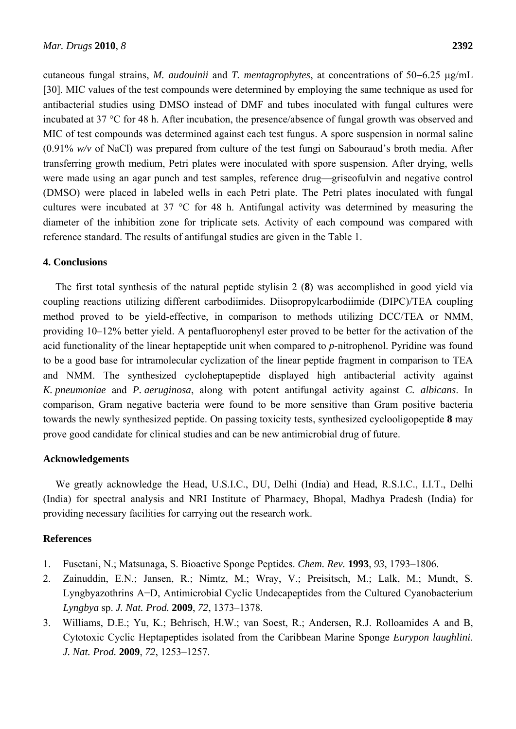cutaneous fungal strains, *M. audouinii* and *T. mentagrophytes*, at concentrations of 50−6.25 μg/mL [30]. MIC values of the test compounds were determined by employing the same technique as used for antibacterial studies using DMSO instead of DMF and tubes inoculated with fungal cultures were incubated at 37 °C for 48 h. After incubation, the presence/absence of fungal growth was observed and MIC of test compounds was determined against each test fungus. A spore suspension in normal saline (0.91% *w/v* of NaCl) was prepared from culture of the test fungi on Sabouraud's broth media. After transferring growth medium, Petri plates were inoculated with spore suspension. After drying, wells were made using an agar punch and test samples, reference drug—griseofulvin and negative control (DMSO) were placed in labeled wells in each Petri plate. The Petri plates inoculated with fungal cultures were incubated at 37 °C for 48 h. Antifungal activity was determined by measuring the diameter of the inhibition zone for triplicate sets. Activity of each compound was compared with reference standard. The results of antifungal studies are given in the Table 1.

## **4. Conclusions**

The first total synthesis of the natural peptide stylisin 2 (**8**) was accomplished in good yield via coupling reactions utilizing different carbodiimides. Diisopropylcarbodiimide (DIPC)/TEA coupling method proved to be yield-effective, in comparison to methods utilizing DCC/TEA or NMM, providing 10–12% better yield. A pentafluorophenyl ester proved to be better for the activation of the acid functionality of the linear heptapeptide unit when compared to *p*-nitrophenol. Pyridine was found to be a good base for intramolecular cyclization of the linear peptide fragment in comparison to TEA and NMM. The synthesized cycloheptapeptide displayed high antibacterial activity against *K. pneumoniae* and *P. aeruginosa*, along with potent antifungal activity against *C. albicans*. In comparison, Gram negative bacteria were found to be more sensitive than Gram positive bacteria towards the newly synthesized peptide. On passing toxicity tests, synthesized cyclooligopeptide **8** may prove good candidate for clinical studies and can be new antimicrobial drug of future.

## **Acknowledgements**

We greatly acknowledge the Head, U.S.I.C., DU, Delhi (India) and Head, R.S.I.C., I.I.T., Delhi (India) for spectral analysis and NRI Institute of Pharmacy, Bhopal, Madhya Pradesh (India) for providing necessary facilities for carrying out the research work.

# **References**

- 1. Fusetani, N.; Matsunaga, S. Bioactive Sponge Peptides. *Chem. Rev.* **1993**, *93*, 1793–1806.
- 2. Zainuddin, E.N.; Jansen, R.; Nimtz, M.; Wray, V.; Preisitsch, M.; Lalk, M.; Mundt, S. Lyngbyazothrins A−D, Antimicrobial Cyclic Undecapeptides from the Cultured Cyanobacterium *Lyngbya* sp. *J. Nat. Prod.* **2009**, *72*, 1373–1378.
- 3. Williams, D.E.; Yu, K.; Behrisch, H.W.; van Soest, R.; Andersen, R.J. Rolloamides A and B, Cytotoxic Cyclic Heptapeptides isolated from the Caribbean Marine Sponge *Eurypon laughlini*. *J. Nat. Prod.* **2009**, *72*, 1253–1257.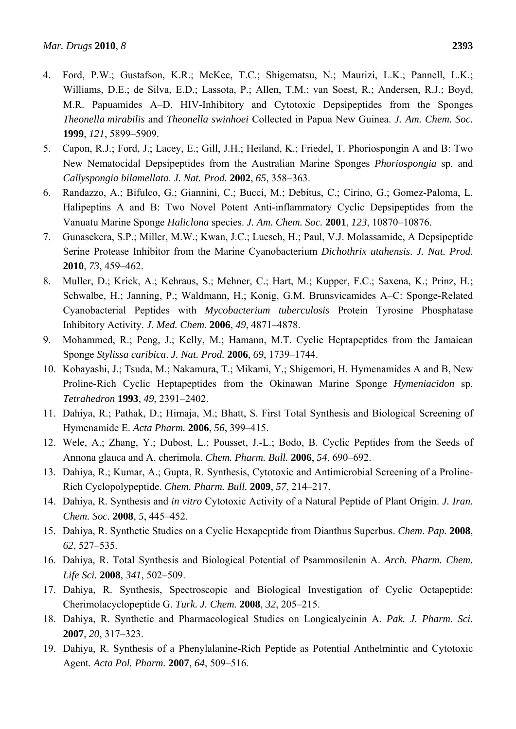- 4. Ford, P.W.; Gustafson, K.R.; McKee, T.C.; Shigematsu, N.; Maurizi, L.K.; Pannell, L.K.; Williams, D.E.; de Silva, E.D.; Lassota, P.; Allen, T.M.; van Soest, R.; Andersen, R.J.; Boyd, M.R. Papuamides A–D, HIV-Inhibitory and Cytotoxic Depsipeptides from the Sponges *Theonella mirabilis* and *Theonella swinhoei* Collected in Papua New Guinea. *J. Am. Chem. Soc.* **1999**, *121*, 5899–5909.
- 5. Capon, R.J.; Ford, J.; Lacey, E.; Gill, J.H.; Heiland, K.; Friedel, T. Phoriospongin A and B: Two New Nematocidal Depsipeptides from the Australian Marine Sponges *Phoriospongia* sp. and *Callyspongia bilamellata*. *J. Nat. Prod.* **2002**, *65*, 358–363.
- 6. Randazzo, A.; Bifulco, G.; Giannini, C.; Bucci, M.; Debitus, C.; Cirino, G.; Gomez-Paloma, L. Halipeptins A and B: Two Novel Potent Anti-inflammatory Cyclic Depsipeptides from the Vanuatu Marine Sponge *Haliclona* species. *J. Am. Chem. Soc.* **2001**, *123*, 10870–10876.
- 7. Gunasekera, S.P.; Miller, M.W.; Kwan, J.C.; Luesch, H.; Paul, V.J. Molassamide, A Depsipeptide Serine Protease Inhibitor from the Marine Cyanobacterium *Dichothrix utahensis*. *J. Nat. Prod.* **2010**, *73*, 459–462.
- 8. Muller, D.; Krick, A.; Kehraus, S.; Mehner, C.; Hart, M.; Kupper, F.C.; Saxena, K.; Prinz, H.; Schwalbe, H.; Janning, P.; Waldmann, H.; Konig, G.M. Brunsvicamides A–C: Sponge-Related Cyanobacterial Peptides with *Mycobacterium tuberculosis* Protein Tyrosine Phosphatase Inhibitory Activity. *J. Med. Chem.* **2006**, *49*, 4871–4878.
- 9. Mohammed, R.; Peng, J.; Kelly, M.; Hamann, M.T. Cyclic Heptapeptides from the Jamaican Sponge *Stylissa caribica*. *J. Nat. Prod.* **2006**, *69*, 1739–1744.
- 10. Kobayashi, J.; Tsuda, M.; Nakamura, T.; Mikami, Y.; Shigemori, H. Hymenamides A and B, New Proline-Rich Cyclic Heptapeptides from the Okinawan Marine Sponge *Hymeniacidon* sp. *Tetrahedron* **1993**, *49*, 2391–2402.
- 11. Dahiya, R.; Pathak, D.; Himaja, M.; Bhatt, S. First Total Synthesis and Biological Screening of Hymenamide E. *Acta Pharm.* **2006**, *56*, 399–415.
- 12. Wele, A.; Zhang, Y.; Dubost, L.; Pousset, J.-L.; Bodo, B. Cyclic Peptides from the Seeds of Annona glauca and A. cherimola. *Chem. Pharm. Bull.* **2006**, *54*, 690–692.
- 13. Dahiya, R.; Kumar, A.; Gupta, R. Synthesis, Cytotoxic and Antimicrobial Screening of a Proline-Rich Cyclopolypeptide. *Chem. Pharm. Bull.* **2009**, *57*, 214–217.
- 14. Dahiya, R. Synthesis and *in vitro* Cytotoxic Activity of a Natural Peptide of Plant Origin. *J. Iran. Chem. Soc.* **2008**, *5*, 445–452.
- 15. Dahiya, R. Synthetic Studies on a Cyclic Hexapeptide from Dianthus Superbus. *Chem. Pap.* **2008**, *62*, 527–535.
- 16. Dahiya, R. Total Synthesis and Biological Potential of Psammosilenin A. *Arch. Pharm. Chem. Life Sci.* **2008**, *341*, 502–509.
- 17. Dahiya, R. Synthesis, Spectroscopic and Biological Investigation of Cyclic Octapeptide: Cherimolacyclopeptide G. *Turk. J. Chem.* **2008**, *32*, 205–215.
- 18. Dahiya, R. Synthetic and Pharmacological Studies on Longicalycinin A. *Pak. J. Pharm. Sci.* **2007**, *20*, 317–323.
- 19. Dahiya, R. Synthesis of a Phenylalanine-Rich Peptide as Potential Anthelmintic and Cytotoxic Agent. *Acta Pol. Pharm.* **2007**, *64*, 509–516.